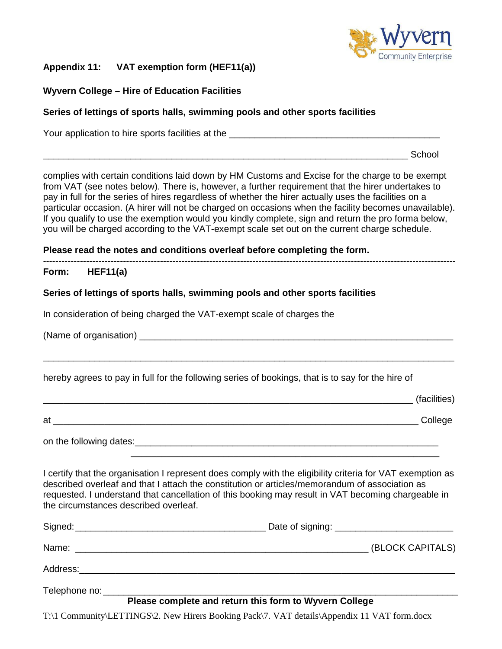

# **Appendix 11: VAT exemption form (HEF11(a))**

## **Wyvern College – Hire of Education Facilities**

### **Series of lettings of sports halls, swimming pools and other sports facilities**

Your application to hire sports facilities at the  $\overline{\phantom{a}}$ 

 $\blacksquare$   $\blacksquare$  School

complies with certain conditions laid down by HM Customs and Excise for the charge to be exempt from VAT (see notes below). There is, however, a further requirement that the hirer undertakes to pay in full for the series of hires regardless of whether the hirer actually uses the facilities on a particular occasion. (A hirer will not be charged on occasions when the facility becomes unavailable). If you qualify to use the exemption would you kindly complete, sign and return the pro forma below, you will be charged according to the VAT-exempt scale set out on the current charge schedule.

**Please read the notes and conditions overleaf before completing the form.** 

## **Form: HEF11(a)**

## **Series of lettings of sports halls, swimming pools and other sports facilities**

In consideration of being charged the VAT-exempt scale of charges the

(Name of organisation)  $\Box$ 

hereby agrees to pay in full for the following series of bookings, that is to say for the hire of

|    | (facilities) |
|----|--------------|
| at | College      |

\_\_\_\_\_\_\_\_\_\_\_\_\_\_\_\_\_\_\_\_\_\_\_\_\_\_\_\_\_\_\_\_\_\_\_\_\_\_\_\_\_\_\_\_\_\_\_\_\_\_\_\_\_\_\_\_\_\_\_\_\_\_\_\_\_\_\_\_\_\_\_\_\_\_\_\_\_\_\_\_

on the following dates:\_\_\_\_\_\_\_\_\_\_\_\_\_\_\_\_\_\_\_\_\_\_\_\_\_\_\_\_\_\_\_\_\_\_\_\_\_\_\_\_\_\_\_\_\_\_\_\_\_\_\_\_\_\_\_\_\_\_\_

I certify that the organisation I represent does comply with the eligibility criteria for VAT exemption as described overleaf and that I attach the constitution or articles/memorandum of association as requested. I understand that cancellation of this booking may result in VAT becoming chargeable in the circumstances described overleaf.

 $\frac{1}{\sqrt{2}}$  ,  $\frac{1}{\sqrt{2}}$  ,  $\frac{1}{\sqrt{2}}$  ,  $\frac{1}{\sqrt{2}}$  ,  $\frac{1}{\sqrt{2}}$  ,  $\frac{1}{\sqrt{2}}$  ,  $\frac{1}{\sqrt{2}}$  ,  $\frac{1}{\sqrt{2}}$  ,  $\frac{1}{\sqrt{2}}$  ,  $\frac{1}{\sqrt{2}}$  ,  $\frac{1}{\sqrt{2}}$  ,  $\frac{1}{\sqrt{2}}$  ,  $\frac{1}{\sqrt{2}}$  ,  $\frac{1}{\sqrt{2}}$  ,  $\frac{1}{\sqrt{2}}$ 

| Signed: Signed:               | Date of signing: _________________________________ |
|-------------------------------|----------------------------------------------------|
|                               | (BLOCK CAPITALS)                                   |
| Address:_____________________ |                                                    |
|                               |                                                    |

### **Please complete and return this form to Wyvern College**

T:\1 Community\LETTINGS\2. New Hirers Booking Pack\7. VAT details\Appendix 11 VAT form.docx